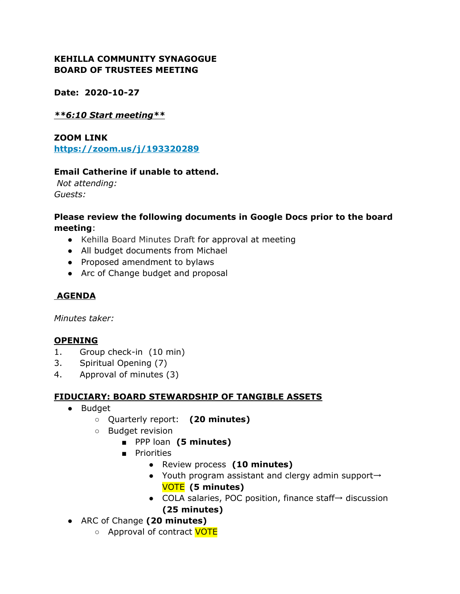## **KEHILLA COMMUNITY SYNAGOGUE BOARD OF TRUSTEES MEETING**

**Date: 2020-10-27**

#### *\*\*6:10 Start meeting\*\**

**ZOOM LINK <https://zoom.us/j/193320289>**

#### **Email Catherine if unable to attend.**

*Not attending: Guests:*

#### **Please review the following documents in Google Docs prior to the board meeting**:

- Kehilla Board Minutes Draft for approval at meeting
- All budget documents from Michael
- Proposed amendment to bylaws
- Arc of Change budget and proposal

## **AGENDA**

*Minutes taker:*

## **OPENING**

- 1. Group check-in (10 min)
- 3. Spiritual Opening (7)
- 4. Approval of minutes (3)

## **FIDUCIARY: BOARD STEWARDSHIP OF TANGIBLE ASSETS**

- Budget
	- Quarterly report: **(20 minutes)**
	- Budget revision
		- PPP loan **(5 minutes)**
		- Priorities
			- Review process **(10 minutes)**
			- Youth program assistant and clergy admin support→ VOTE **(5 minutes)**
			- COLA salaries, POC position, finance staff→ discussion **(25 minutes)**
- ARC of Change **(20 minutes)**
	- Approval of contract VOTE